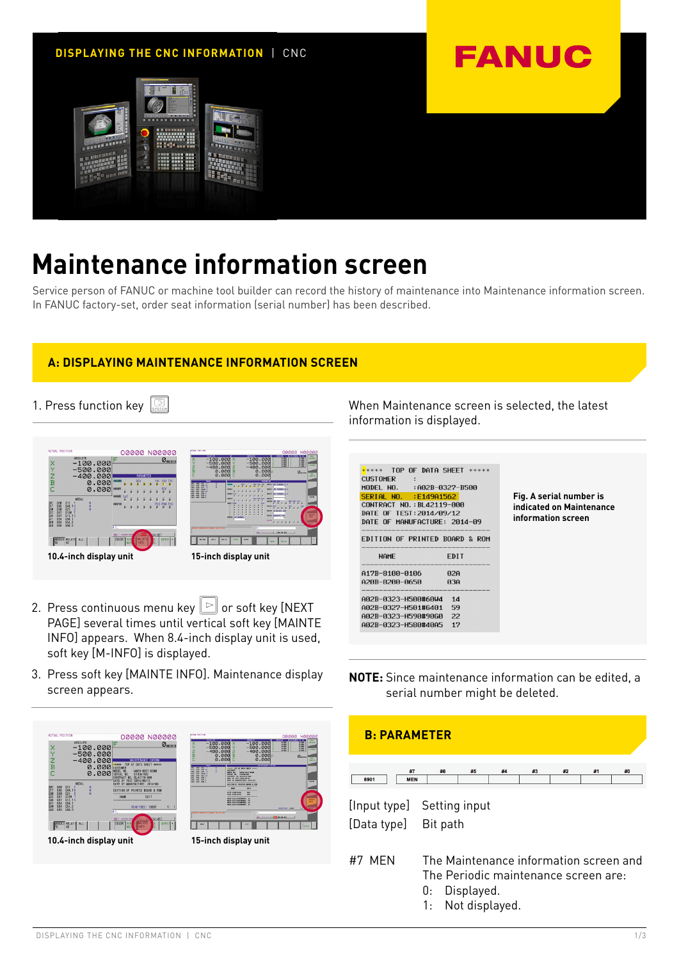

# **Maintenance information screen**

Service person of FANUC or machine tool builder can record the history of maintenance into Maintenance information screen. In FANUC factory-set, order seat information (serial number) has been described.

# **A: DISPLAYING MAINTENANCE INFORMATION SCREEN**

1. Press function key



- 2. Press continuous menu key  $\boxed{\triangleright}$  or soft key [NEXT] PAGE] several times until vertical soft key [MAINTE INFO] appears. When 8.4-inch display unit is used,
- 3. Press soft key [MAINTE INFO]. Maintenance display screen appears.

soft key [M-INFO] is displayed.



When Maintenance screen is selected, the latest information is displayed.

| $***$ TOP OF DATA SHEET $***$  |             |
|--------------------------------|-------------|
| CUSTOMER :                     |             |
| MODEL NO. : A02B-0327-B500     |             |
| SERIAL NO. :E149A1562          |             |
| CONTRACT NO.: BL42119-888      |             |
| DATE OF TEST: 2014/09/12       |             |
| DATE OF MANUFACTURE: 2014-09   |             |
|                                |             |
| EDITION OF PRINTED BOARD & ROM |             |
|                                |             |
|                                |             |
| <b>NAME</b>                    | <b>FDIT</b> |
| A17B-8100-0106                 | <b>A2A</b>  |
| A20B-8200-0650                 | <b>A3A</b>  |
|                                |             |
| AA2B-A323-H5AA#6AW4            | 1d          |
| A02B-0327-H501#6401            | 59          |
| AA2B-A323-H59A#9AGA            | 22          |

**Fig. A serial number is indicated on Maintenance information screen**

**NOTE:** Since maintenance information can be edited, a serial number might be deleted.

| <b>B. PARAMETER</b>        |                                        |            |    |    |    |    |    |
|----------------------------|----------------------------------------|------------|----|----|----|----|----|
| #7<br>8901<br><b>MEN</b>   | #6                                     | #5         | #4 | #3 | #2 | #1 | #0 |
|                            |                                        |            |    |    |    |    |    |
| [Input type] Setting input |                                        |            |    |    |    |    |    |
| [Data type]                | Bit path                               |            |    |    |    |    |    |
|                            |                                        |            |    |    |    |    |    |
| #7<br>MFN                  | The Maintenance information screen and |            |    |    |    |    |    |
|                            | The Periodic maintenance screen are:   |            |    |    |    |    |    |
|                            | U:                                     | Displayed. |    |    |    |    |    |
|                            | 1: Not displayed.                      |            |    |    |    |    |    |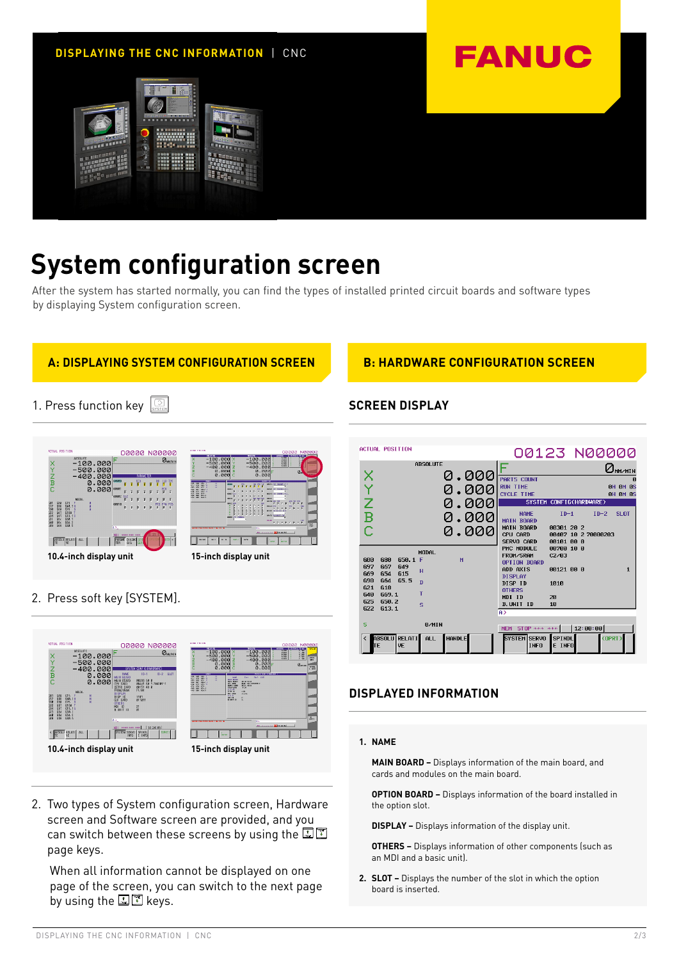

# **System configuration screen**

After the system has started normally, you can find the types of installed printed circuit boards and software types by displaying System configuration screen.

# **A: DISPLAYING SYSTEM CONFIGURATION SCREEN B: HARDWARE CONFIGURATION SCREEN**

1. Press function key  $\boxed{\odot}$ 





2. Press soft key [SYSTEM].



2. Two types of System configuration screen, Hardware screen and Software screen are provided, and you can switch between these screens by using the **LE** page keys.

 When all information cannot be displayed on one page of the screen, you can switch to the next page by using the  $\mathbb{E}[\mathbb{E}]$  keys.



# **DISPLAYED INFORMATION**

## **1. NAME**

 **MAIN BOARD –** Displays information of the main board, and cards and modules on the main board.

 **OPTION BOARD –** Displays information of the board installed in the option slot.

 **DISPLAY –** Displays information of the display unit.

 **OTHERS –** Displays information of other components (such as an MDI and a basic unit).

**2. SLOT –** Displays the number of the slot in which the option board is inserted.